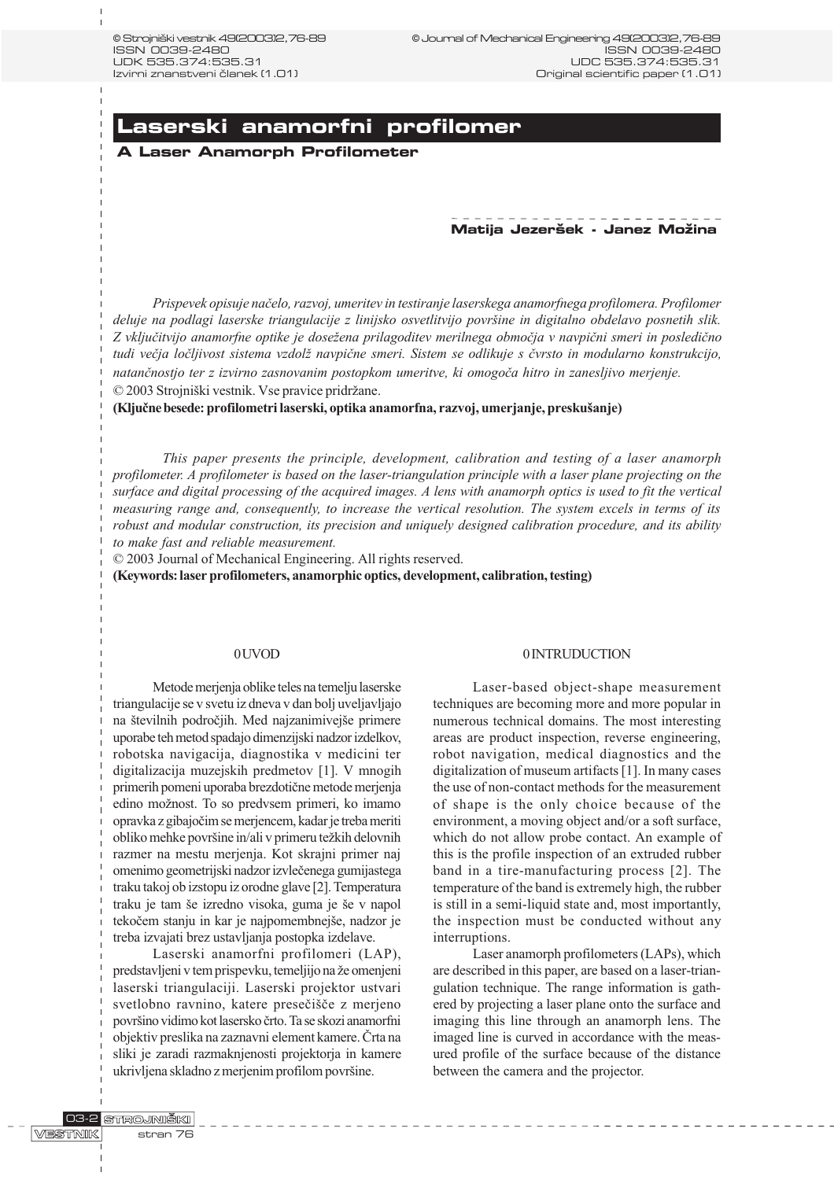# **Laserski anamorfni profilomer**

# **A Laser Anamorph Profilometer**

# **Matija Jezer{ek - Janez Mo`ina**

Prispevek opisuje naèelo, razvoj, umeritev in testiranje laserskega anamorfnega profilomera. Profilomer deluje na podlagi laserske triangulacije z linijsko osvetlitvijo povrine in digitalno obdelavo posnetih slik. Z vključitvijo anamorfne optike je dosežena prilagoditev merilnega območja v navpični smeri in posledično tudi večja ločljivost sistema vzdolž navpične smeri. Sistem se odlikuje s čvrsto in modularno konstrukcijo, natanènostjo ter z izvirno zasnovanim postopkom umeritve, ki omogoèa hitro in zanesljivo merjenje. © 2003 Strojniški vestnik. Vse pravice pridržane.

(Ključne besede: profilometri laserski, optika anamorfna, razvoj, umerjanje, preskušanje)

This paper presents the principle, development, calibration and testing of a laser anamorph profilometer. A profilometer is based on the laser-triangulation principle with a laser plane projecting on the surface and digital processing of the acquired images. A lens with anamorph optics is used to fit the vertical measuring range and, consequently, to increase the vertical resolution. The system excels in terms of its robust and modular construction, its precision and uniquely designed calibration procedure, and its ability to make fast and reliable measurement.

© 2003 Journal of Mechanical Engineering. All rights reserved.

(Keywords: laser profilometers, anamorphic optics, development, calibration, testing)

# 0 UVOD

Metode merjenja oblike teles na temelju laserske triangulacije se v svetu iz dneva v dan bolj uveljavljajo na številnih področjih. Med najzanimivejše primere uporabe teh metod spadajo dimenzijski nadzor izdelkov, robotska navigacija, diagnostika v medicini ter digitalizacija muzejskih predmetov [1]. V mnogih primerih pomeni uporaba brezdotiène metode merjenja edino možnost. To so predvsem primeri, ko imamo opravka z gibajoèim se merjencem, kadar je treba meriti obliko mehke površine in/ali v primeru težkih delovnih razmer na mestu merjenja. Kot skrajni primer naj omenimo geometrijski nadzor izvleèenega gumijastega traku takoj ob izstopu iz orodne glave [2]. Temperatura traku je tam še izredno visoka, guma je še v napol tekočem stanju in kar je najpomembnejše, nadzor je treba izvajati brez ustavljanja postopka izdelave.

Laserski anamorfni profilomeri (LAP), predstavljeni v tem prispevku, temeljijo na že omenjeni laserski triangulaciji. Laserski projektor ustvari svetlobno ravnino, katere presečišče z merjeno povrino vidimo kot lasersko èrto. Ta se skozi anamorfni objektiv preslika na zaznavni element kamere. Èrta na sliki je zaradi razmaknjenosti projektorja in kamere ukrivljena skladno z merjenim profilom površine.

# 0 INTRUDUCTION

Laser-based object-shape measurement techniques are becoming more and more popular in numerous technical domains. The most interesting areas are product inspection, reverse engineering, robot navigation, medical diagnostics and the digitalization of museum artifacts [1]. In many cases the use of non-contact methods for the measurement of shape is the only choice because of the environment, a moving object and/or a soft surface, which do not allow probe contact. An example of this is the profile inspection of an extruded rubber band in a tire-manufacturing process [2]. The temperature of the band is extremely high, the rubber is still in a semi-liquid state and, most importantly, the inspection must be conducted without any interruptions.

Laser anamorph profilometers (LAPs), which are described in this paper, are based on a laser-triangulation technique. The range information is gathered by projecting a laser plane onto the surface and imaging this line through an anamorph lens. The imaged line is curved in accordance with the measured profile of the surface because of the distance between the camera and the projector.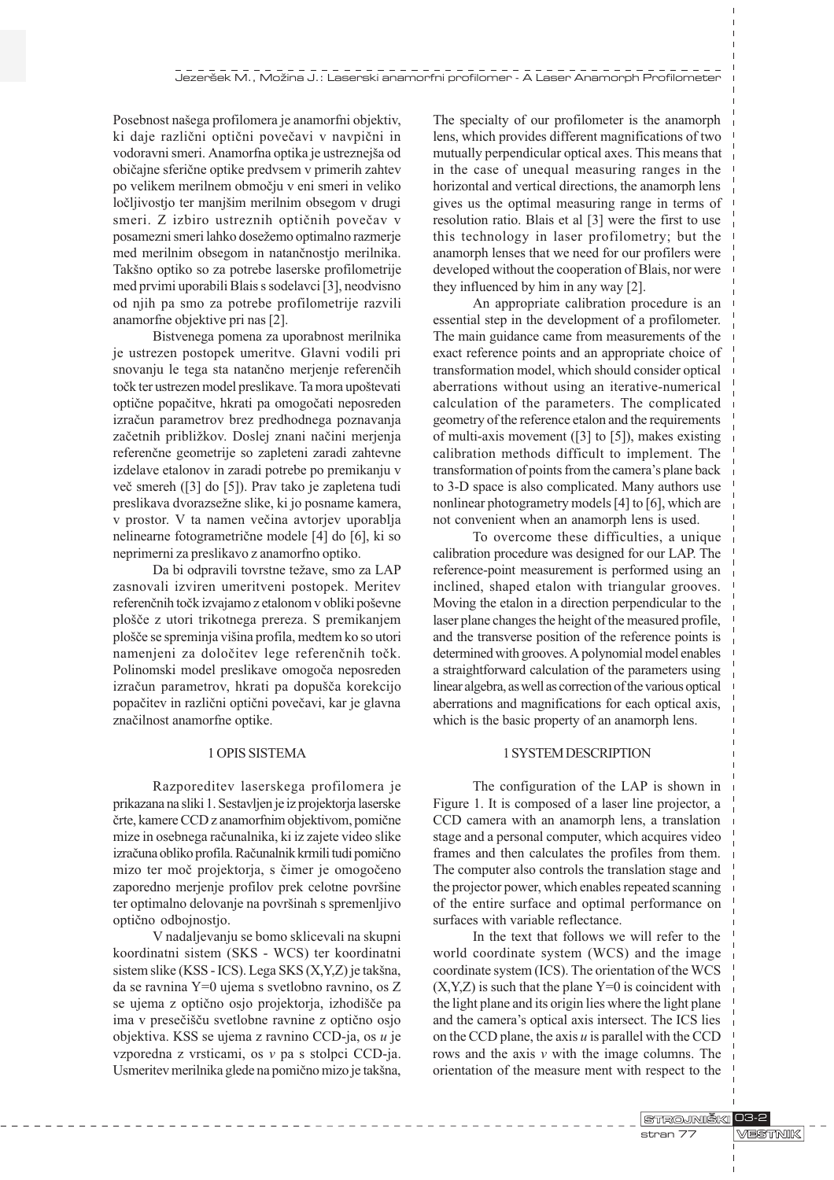Posebnost našega profilomera je anamorfni objektiv, ki daje različni optični povečavi v navpični in vodoravni smeri. Anamorfna optika je ustreznejša od obièajne sferiène optike predvsem v primerih zahtev po velikem merilnem obmoèju v eni smeri in veliko ločljivostjo ter manjšim merilnim obsegom v drugi smeri. Z izbiro ustreznih optičnih povečav v posamezni smeri lahko dosežemo optimalno razmerje med merilnim obsegom in natanènostjo merilnika. Takšno optiko so za potrebe laserske profilometrije med prvimi uporabili Blais s sodelavci [3], neodvisno od njih pa smo za potrebe profilometrije razvili anamorfne objektive pri nas [2].

Bistvenega pomena za uporabnost merilnika je ustrezen postopek umeritve. Glavni vodili pri snovanju le tega sta natanèno merjenje referenèih točk ter ustrezen model preslikave. Ta mora upoštevati optiène popaèitve, hkrati pa omogoèati neposreden izraèun parametrov brez predhodnega poznavanja začetnih približkov. Doslej znani načini merjenja referenène geometrije so zapleteni zaradi zahtevne izdelave etalonov in zaradi potrebe po premikanju v veè smereh ([3] do [5]). Prav tako je zapletena tudi preslikava dvorazsežne slike, ki jo posname kamera, v prostor. V ta namen večina avtorjev uporablja nelinearne fotogrametriène modele [4] do [6], ki so neprimerni za preslikavo z anamorfno optiko.

Da bi odpravili tovrstne težave, smo za LAP zasnovali izviren umeritveni postopek. Meritev referenčnih točk izvajamo z etalonom v obliki poševne ploèe z utori trikotnega prereza. S premikanjem plošče se spreminja višina profila, medtem ko so utori namenjeni za doloèitev lege referenènih toèk. Polinomski model preslikave omogoèa neposreden izračun parametrov, hkrati pa dopušča korekcijo popaèitev in razlièni optièni poveèavi, kar je glavna znaèilnost anamorfne optike.

# 1 OPIS SISTEMA

Razporeditev laserskega profilomera je prikazana na sliki 1. Sestavljen je iz projektorja laserske èrte, kamere CCD z anamorfnim objektivom, pomiène mize in osebnega raèunalnika, ki iz zajete video slike izraèuna obliko profila. Raèunalnik krmili tudi pomièno mizo ter moè projektorja, s èimer je omogoèeno zaporedno merjenje profilov prek celotne površine ter optimalno delovanje na površinah s spremenljivo optièno odbojnostjo.

V nadaljevanju se bomo sklicevali na skupni koordinatni sistem (SKS - WCS) ter koordinatni sistem slike (KSS - ICS). Lega SKS (X,Y,Z) je takšna, da se ravnina Y=0 ujema s svetlobno ravnino, os Z se ujema z optično osjo projektorja, izhodišče pa ima v presečišču svetlobne ravnine z optično osjo objektiva. KSS se ujema z ravnino CCD-ja, os u je vzporedna z vrsticami, os v pa s stolpci CCD-ja. Usmeritev merilnika glede na pomično mizo je takšna, The specialty of our profilometer is the anamorph lens, which provides different magnifications of two mutually perpendicular optical axes. This means that in the case of unequal measuring ranges in the horizontal and vertical directions, the anamorph lens gives us the optimal measuring range in terms of resolution ratio. Blais et al [3] were the first to use this technology in laser profilometry; but the anamorph lenses that we need for our profilers were developed without the cooperation of Blais, nor were they influenced by him in any way [2].

An appropriate calibration procedure is an essential step in the development of a profilometer. The main guidance came from measurements of the exact reference points and an appropriate choice of transformation model, which should consider optical aberrations without using an iterative-numerical calculation of the parameters. The complicated geometry of the reference etalon and the requirements of multi-axis movement ([3] to [5]), makes existing calibration methods difficult to implement. The transformation of points from the camera's plane back to 3-D space is also complicated. Many authors use nonlinear photogrametry models [4] to [6], which are not convenient when an anamorph lens is used.

To overcome these difficulties, a unique calibration procedure was designed for our LAP. The reference-point measurement is performed using an inclined, shaped etalon with triangular grooves. Moving the etalon in a direction perpendicular to the laser plane changes the height of the measured profile, and the transverse position of the reference points is determined with grooves. A polynomial model enables a straightforward calculation of the parameters using linear algebra, as well as correction of the various optical aberrations and magnifications for each optical axis, which is the basic property of an anamorph lens.

# 1 SYSTEM DESCRIPTION

The configuration of the LAP is shown in Figure 1. It is composed of a laser line projector, a CCD camera with an anamorph lens, a translation stage and a personal computer, which acquires video frames and then calculates the profiles from them. The computer also controls the translation stage and the projector power, which enables repeated scanning of the entire surface and optimal performance on surfaces with variable reflectance.

In the text that follows we will refer to the world coordinate system (WCS) and the image coordinate system (ICS). The orientation of the WCS  $(X, Y, Z)$  is such that the plane  $Y=0$  is coincident with the light plane and its origin lies where the light plane and the camera's optical axis intersect. The ICS lies on the CCD plane, the axis  $u$  is parallel with the CCD rows and the axis  $v$  with the image columns. The orientation of the measure ment with respect to the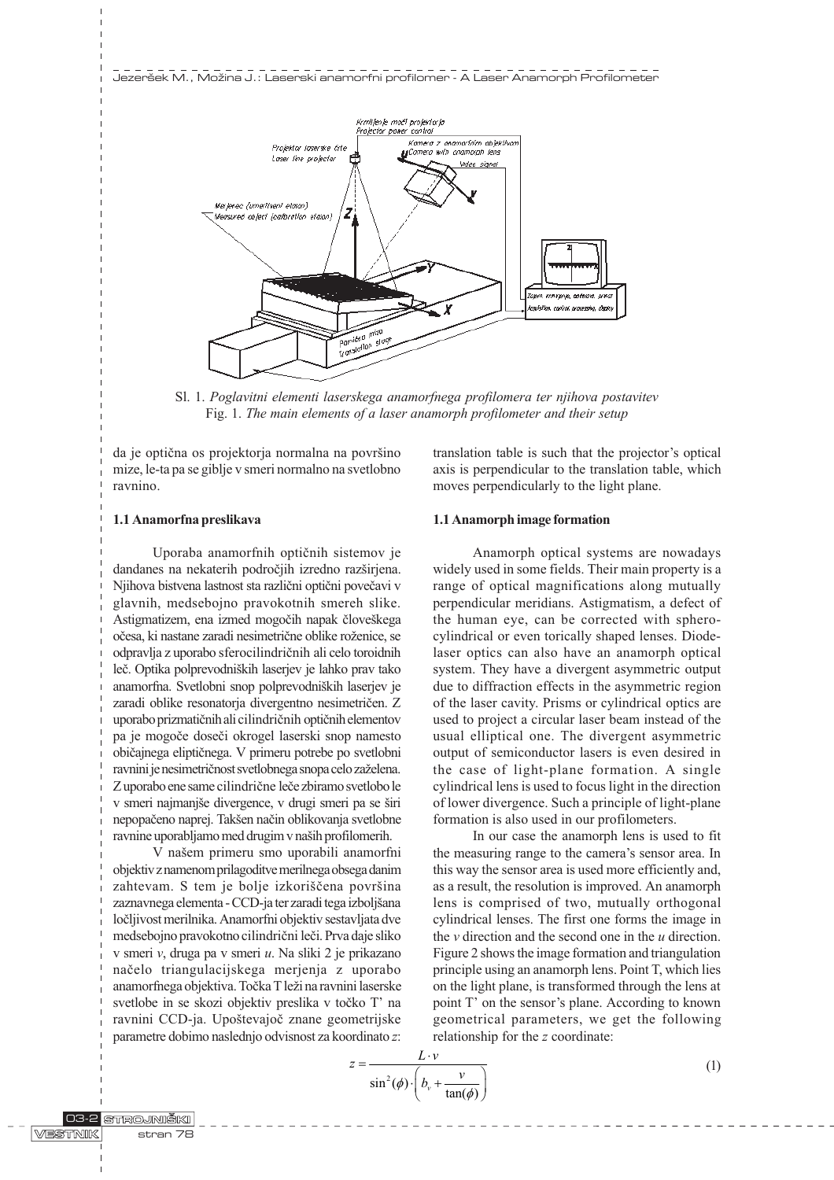Jezeršek M., Možina J.: Laserski anamorfni profilomer - A Laser Anamorph Profilometer



Sl. 1. Poglavitni elementi laserskega anamorfnega profilomera ter njihova postavitev Fig. 1. The main elements of a laser anamorph profilometer and their setup

da je optična os projektorja normalna na površino mize, le-ta pa se giblje v smeri normalno na svetlobno ravnino.

axis is perpendicular to the translation table, which moves perpendicularly to the light plane.

translation table is such that the projector's optical

#### 1.1 Anamorfna preslikava

Uporaba anamorfnih optiènih sistemov je dandanes na nekaterih področjih izredno razširjena. Njihova bistvena lastnost sta razlièni optièni poveèavi v glavnih, medsebojno pravokotnih smereh slike. Astigmatizem, ena izmed mogočih napak človeškega očesa, ki nastane zaradi nesimetrične oblike roženice, se odpravlja z uporabo sferocilindriènih ali celo toroidnih leč. Optika polprevodniških laserjev je lahko prav tako anamorfna. Svetlobni snop polprevodniških laserjev je zaradi oblike resonatorja divergentno nesimetrièen. Z uporabo prizmatiènih ali cilindriènih optiènih elementov pa je mogoèe doseèi okrogel laserski snop namesto obièajnega eliptiènega. V primeru potrebe po svetlobni ravnini je nesimetričnost svetlobnega snopa celo zaželena. Z uporabo ene same cilindriène leèe zbiramo svetlobo le v smeri najmanjše divergence, v drugi smeri pa se širi nepopačeno naprej. Takšen način oblikovanja svetlobne ravnine uporabljamo med drugim v naših profilomerih.

V našem primeru smo uporabili anamorfni objektiv z namenom prilagoditve merilnega obsega danim zahtevam. S tem je bolje izkoriščena površina zaznavnega elementa - CCD-ja ter zaradi tega izboljšana loèljivost merilnika. Anamorfni objektiv sestavljata dve medsebojno pravokotno cilindrièni leèi. Prva daje sliko v smeri v, druga pa v smeri u. Na sliki 2 je prikazano naèelo triangulacijskega merjenja z uporabo anamorfnega objektiva. Točka T leži na ravnini laserske svetlobe in se skozi objektiv preslika v točko T' na ravnini CCD-ja. Upoštevajoč znane geometrijske parametre dobimo naslednjo odvisnost za koordinato z:

#### 1.1 Anamorph image formation

Anamorph optical systems are nowadays widely used in some fields. Their main property is a range of optical magnifications along mutually perpendicular meridians. Astigmatism, a defect of the human eye, can be corrected with spherocylindrical or even torically shaped lenses. Diodelaser optics can also have an anamorph optical system. They have a divergent asymmetric output due to diffraction effects in the asymmetric region of the laser cavity. Prisms or cylindrical optics are used to project a circular laser beam instead of the usual elliptical one. The divergent asymmetric output of semiconductor lasers is even desired in the case of light-plane formation. A single cylindrical lens is used to focus light in the direction of lower divergence. Such a principle of light-plane formation is also used in our profilometers.

In our case the anamorph lens is used to fit the measuring range to the camera's sensor area. In this way the sensor area is used more efficiently and, as a result, the resolution is improved. An anamorph lens is comprised of two, mutually orthogonal cylindrical lenses. The first one forms the image in the  $\nu$  direction and the second one in the  $u$  direction. Figure 2 shows the image formation and triangulation principle using an anamorph lens. Point T, which lies on the light plane, is transformed through the lens at point T' on the sensor's plane. According to known geometrical parameters, we get the following relationship for the z coordinate:

$$
z = \frac{L \cdot v}{\sin^2(\phi) \cdot \left(b_v + \frac{v}{\tan(\phi)}\right)}
$$

(1)

**STROJNIŠKI**  $C<sub>2</sub>$ **MESTINIK**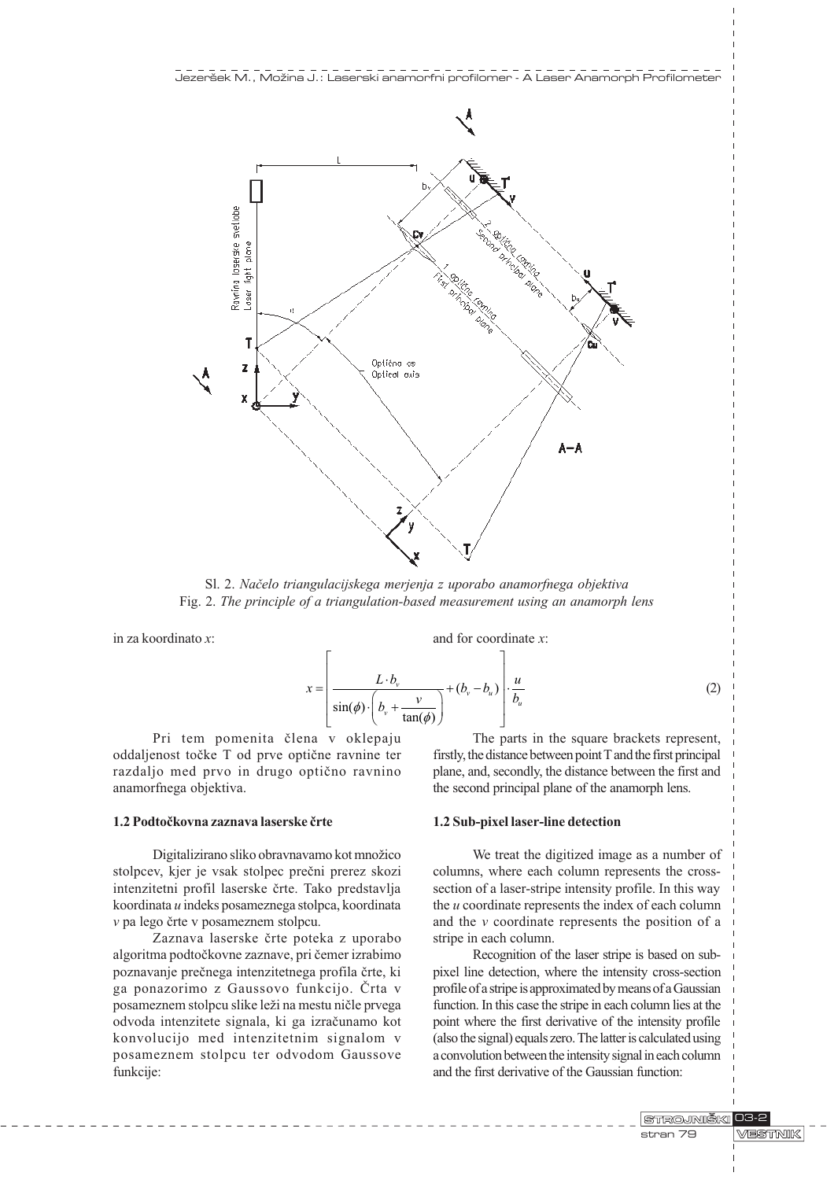

Sl. 2. Naèelo triangulacijskega merjenja z uporabo anamorfnega objektiva Fig. 2. The principle of a triangulation-based measurement using an anamorph lens

in za koordinato x:

and for coordinate x:

$$
x = \left[ \frac{L \cdot b_v}{\sin(\phi) \cdot \left( b_v + \frac{v}{\tan(\phi)} \right)} + (b_v - b_u) \right] \cdot \frac{u}{b_u}
$$
 (2)

Pri tem pomenita èlena v oklepaju oddaljenost toèke T od prve optiène ravnine ter razdaljo med prvo in drugo optièno ravnino anamorfnega objektiva.

#### 1.2 Podtoèkovna zaznava laserske èrte

Digitalizirano sliko obravnavamo kot množico stolpcev, kjer je vsak stolpec preèni prerez skozi intenzitetni profil laserske èrte. Tako predstavlja koordinata u indeks posameznega stolpca, koordinata v pa lego èrte v posameznem stolpcu.

Zaznava laserske èrte poteka z uporabo algoritma podtoèkovne zaznave, pri èemer izrabimo poznavanje preènega intenzitetnega profila èrte, ki ga ponazorimo z Gaussovo funkcijo. Èrta v posameznem stolpcu slike leži na mestu ničle prvega odvoda intenzitete signala, ki ga izraèunamo kot konvolucijo med intenzitetnim signalom v posameznem stolpcu ter odvodom Gaussove funkcije:

The parts in the square brackets represent, firstly, the distance between point T and the first principal plane, and, secondly, the distance between the first and the second principal plane of the anamorph lens.

#### 1.2 Sub-pixel laser-line detection

We treat the digitized image as a number of columns, where each column represents the crosssection of a laser-stripe intensity profile. In this way the u coordinate represents the index of each column and the v coordinate represents the position of a stripe in each column.

Recognition of the laser stripe is based on subpixel line detection, where the intensity cross-section profile of a stripe is approximated by means of a Gaussian function. In this case the stripe in each column lies at the point where the first derivative of the intensity profile (also the signal) equals zero. The latter is calculated using a convolution between the intensity signal in each column and the first derivative of the Gaussian function: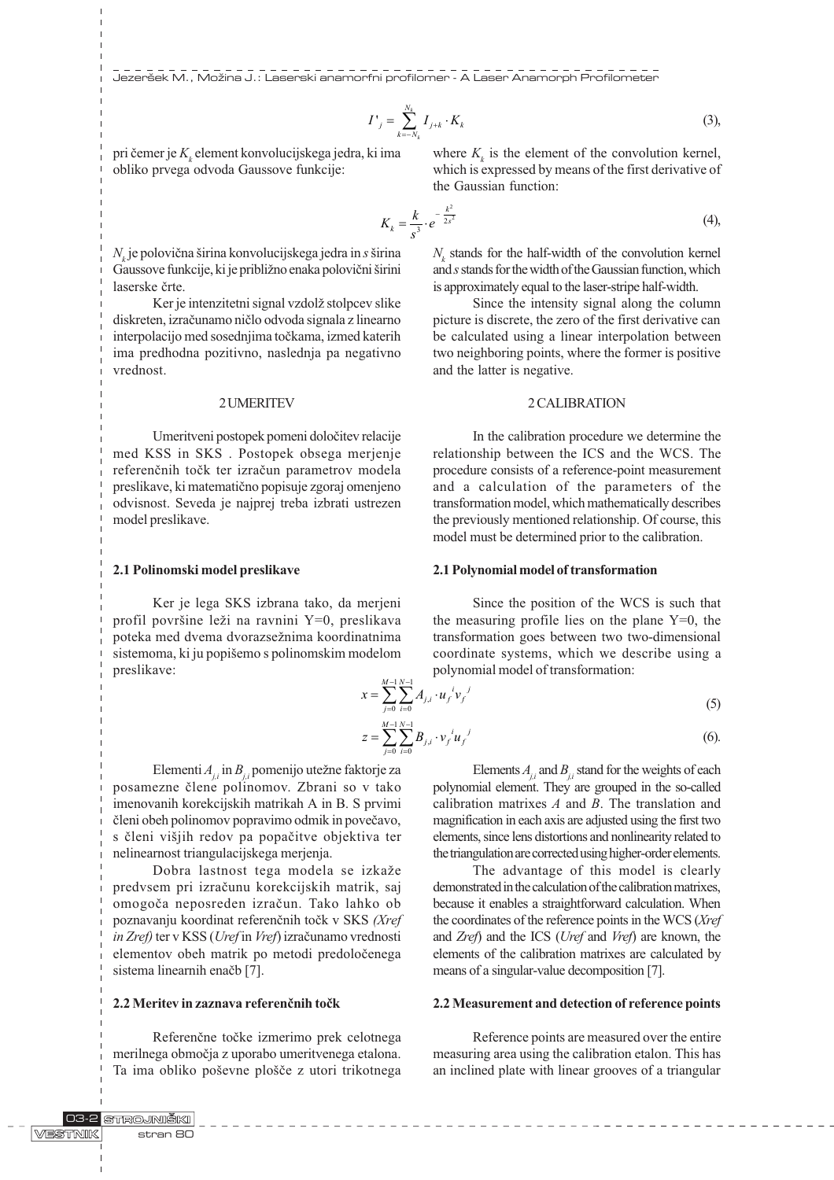Jezeršek M., Možina J.: Laserski anamorfni profilomer - A Laser Anamorph Profilometer

$$
I'_{j} = \sum_{k=-N_{k}}^{N_{k}} I_{j+k} \cdot K_{k}
$$
 (3),

pri čemer je  $K_{\scriptscriptstyle{k}}$  element konvolucijskega jedra, ki ima obliko prvega odvoda Gaussove funkcije:

 $N_{\!\scriptscriptstyle k}$ je polovična širina konvolucijskega jedra in  $s$  širina Gaussove funkcije, ki je približno enaka polovični širini laserske èrte.

Ker je intenzitetni signal vzdolž stolpcev slike diskreten, izraèunamo nièlo odvoda signala z linearno interpolacijo med sosednjima toèkama, izmed katerih ima predhodna pozitivno, naslednja pa negativno vrednost.

#### 2 UMERITEV

Umeritveni postopek pomeni doloèitev relacije med KSS in SKS . Postopek obsega merjenje referenènih toèk ter izraèun parametrov modela preslikave, ki matematièno popisuje zgoraj omenjeno odvisnost. Seveda je najprej treba izbrati ustrezen model preslikave.

#### 2.1 Polinomski model preslikave

Ker je lega SKS izbrana tako, da merjeni profil površine leži na ravnini Y=0, preslikava poteka med dvema dvorazsežnima koordinatnima sistemoma, ki ju popišemo s polinomskim modelom preslikave:

where  $K_k$  is the element of the convolution kernel, which is expressed by means of the first derivative of the Gaussian function:

$$
K_k = \frac{k}{s^3} \cdot e^{-\frac{k^2}{2s^2}} \tag{4}
$$

 $N_k$  stands for the half-width of the convolution kernel and s stands for the width of the Gaussian function, which is approximately equal to the laser-stripe half-width.

Since the intensity signal along the column picture is discrete, the zero of the first derivative can be calculated using a linear interpolation between two neighboring points, where the former is positive and the latter is negative.

#### 2 CALIBRATION

In the calibration procedure we determine the relationship between the ICS and the WCS. The procedure consists of a reference-point measurement and a calculation of the parameters of the transformation model, which mathematically describes the previously mentioned relationship. Of course, this model must be determined prior to the calibration.

#### 2.1 Polynomial model of transformation

Since the position of the WCS is such that the measuring profile lies on the plane  $Y=0$ , the transformation goes between two two-dimensional coordinate systems, which we describe using a polynomial model of transformation:

$$
x = \sum_{j=0}^{M-1} \sum_{i=0}^{N-1} A_{j,i} \cdot u_j^i v_j^j
$$
 (5)

$$
z = \sum_{j=0}^{M-1} \sum_{i=0}^{N-1} B_{j,i} \cdot v_j^i u_j^j \tag{6}
$$

Elementi  $A_{ij}$  in  $B_{ij}$  pomenijo utežne faktorje za posamezne èlene polinomov. Zbrani so v tako imenovanih korekcijskih matrikah A in B. S prvimi èleni obeh polinomov popravimo odmik in poveèavo, s členi višjih redov pa popačitve objektiva ter nelinearnost triangulacijskega merjenja.

Dobra lastnost tega modela se izkaže predvsem pri izraèunu korekcijskih matrik, saj omogoèa neposreden izraèun. Tako lahko ob poznavanju koordinat referenènih toèk v SKS (Xref in Zref) ter v KSS (Uref in Vref) izraèunamo vrednosti elementov obeh matrik po metodi predoloèenega sistema linearnih enačb [7].

# 2.2 Meritev in zaznava referenènih toèk

Referenène toèke izmerimo prek celotnega merilnega obmoèja z uporabo umeritvenega etalona. Ta ima obliko poševne plošče z utori trikotnega

Elements  $A_{ij}$  and  $B_{ij}$  stand for the weights of each polynomial element. They are grouped in the so-called calibration matrixes  $A$  and  $B$ . The translation and magnification in each axis are adjusted using the first two elements, since lens distortions and nonlinearity related to the triangulation are corrected using higher-order elements.

The advantage of this model is clearly demonstrated in the calculation of the calibration matrixes, because it enables a straightforward calculation. When the coordinates of the reference points in the WCS (Xref and Zref) and the ICS (Uref and Vref) are known, the elements of the calibration matrixes are calculated by means of a singular-value decomposition [7].

#### 2.2 Measurement and detection of reference points

Reference points are measured over the entire measuring area using the calibration etalon. This has an inclined plate with linear grooves of a triangular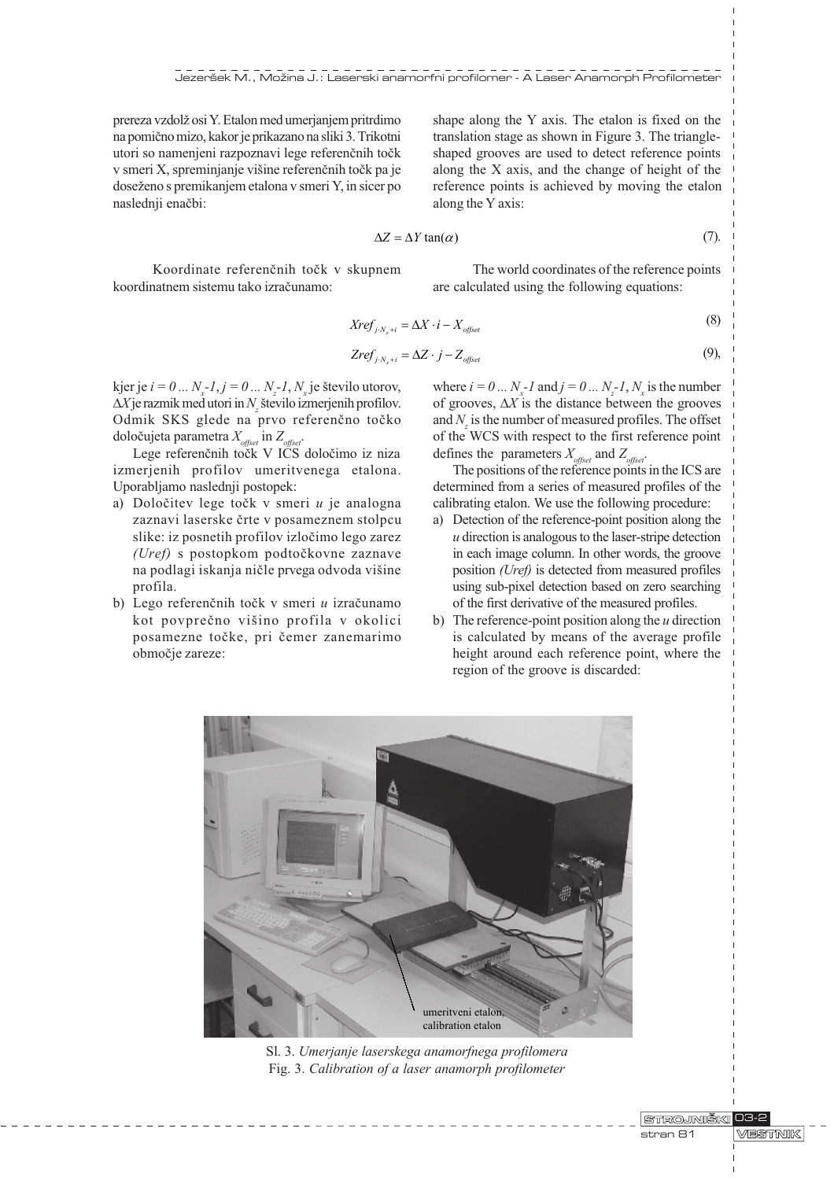prereza vzdolž osi Y. Etalon med umerjanjem pritrdimo na pomièno mizo, kakor je prikazano na sliki 3. Trikotni utori so namenjeni razpoznavi lege referenènih toèk v smeri X, spreminjanje višine referenčnih točk pa je doseženo s premikanjem etalona v smeri Y, in sicer po naslednji enaèbi:

shape along the Y axis. The etalon is fixed on the translation stage as shown in Figure 3. The triangleshaped grooves are used to detect reference points along the X axis, and the change of height of the reference points is achieved by moving the etalon along the Y axis:

$$
\Delta Z = \Delta Y \tan(\alpha) \tag{7}
$$

Koordinate referenènih toèk v skupnem koordinatnem sistemu tako izraèunamo:

The world coordinates of the reference points are calculated using the following equations:

$$
Xref_{j \cdot N_x + i} = \Delta X \cdot i - X_{offset} \tag{8}
$$

$$
Zref_{j \cdot N_x + i} = \Delta Z \cdot j - Z_{\text{offset}} \tag{9}
$$

kjer je  $i = 0 \dots N_x - 1, j = 0 \dots N_z - 1, N_x$ je število utorov,  $\Delta X$ je razmik med utori in  $N_z$  število izmerjenih profilov. Odmik SKS glede na prvo referenèno toèko določujeta parametra  $X_{\text{offset}}$  in  $Z_{\text{offset}}$ 

Lege referenčnih točk V ICS določimo iz niza izmerjenih profilov umeritvenega etalona. Uporabljamo naslednji postopek:

- a) Določitev lege točk v smeri  $u$  je analogna zaznavi laserske èrte v posameznem stolpcu slike: iz posnetih profilov izloèimo lego zarez (Uref) s postopkom podtoèkovne zaznave na podlagi iskanja ničle prvega odvoda višine profila.
- b) Lego referenčnih točk v smeri  $u$  izračunamo kot povprečno višino profila v okolici posamezne toèke, pri èemer zanemarimo obmoèje zareze:

(9), where  $i = 0... N_x - 1$  and  $j = 0... N_z - 1, N_x$  is the number of grooves,  $\Delta X$  is the distance between the grooves and  $N_z$  is the number of measured profiles. The offset of the WCS with respect to the first reference point

defines the parameters  $X_{\text{offset}}$  and  $Z_{\text{offset}}$ . The positions of the reference points in the ICS are determined from a series of measured profiles of the calibrating etalon. We use the following procedure:

- a) Detection of the reference-point position along the  $u$  direction is analogous to the laser-stripe detection in each image column. In other words, the groove position (Uref) is detected from measured profiles using sub-pixel detection based on zero searching of the first derivative of the measured profiles.
- b) The reference-point position along the  $u$  direction is calculated by means of the average profile height around each reference point, where the region of the groove is discarded:



Sl. 3. Umerjanje laserskega anamorfnega profilomera Fig. 3. Calibration of a laser anamorph profilometer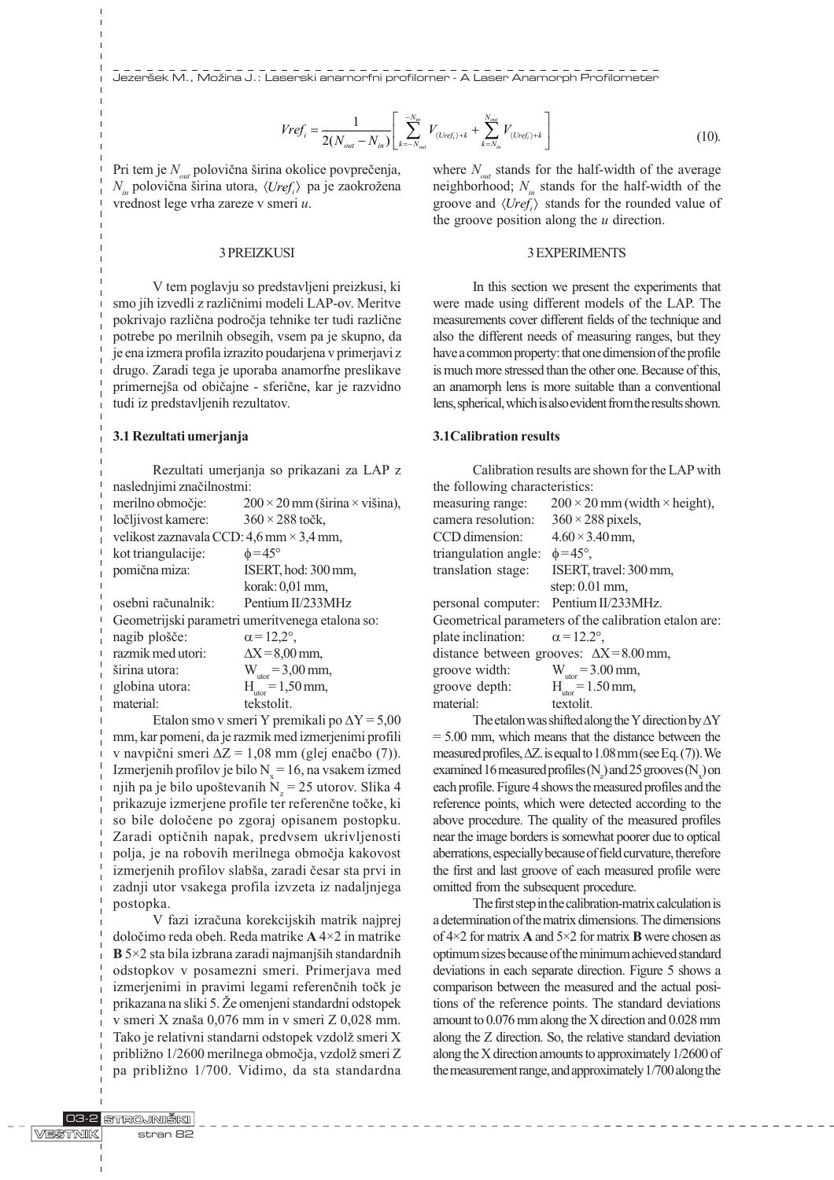Jezeršek M., Možina J.: Laserski anamorfni profilomer - A Laser Anamorph Profilometer

$$
Vref_i = \frac{1}{2(N_{out} - N_{in})} \left[ \sum_{k=-N_{out}}^{-N_{in}} V_{(Uref_i) + k} + \sum_{k=N_{in}}^{N_{out}} V_{(Uref_i) + k} \right]
$$
(10).

Pri tem je  $N_{out}$  polovična širina okolice povprečenja,  $N_{in}$  polovična širina utora,  $\langle Uref_i \rangle$  pa je zaokrožena vrednost lege vrha zareze v smeri u.

# 3 PREIZKUSI

V tem poglavju so predstavljeni preizkusi, ki smo jih izvedli z razliènimi modeli LAP-ov. Meritve pokrivajo razlièna podroèja tehnike ter tudi razliène potrebe po merilnih obsegih, vsem pa je skupno, da je ena izmera profila izrazito poudarjena v primerjavi z drugo. Zaradi tega je uporaba anamorfne preslikave primernejša od običajne - sferične, kar je razvidno tudi iz predstavljenih rezultatov.

#### 3.1 Rezultati umerjanja

Rezultati umerjanja so prikazani za LAP z naslednjimi znaèilnostmi:

| merilno območje:                                | $200 \times 20$ mm (širina $\times$ višina), |
|-------------------------------------------------|----------------------------------------------|
| ločljivost kamere:                              | $360 \times 288$ točk,                       |
| velikost zaznavala CCD: 4,6 mm $\times$ 3,4 mm, |                                              |
| kot triangulacije:                              | $\phi = 45^{\circ}$                          |
| pomična miza:                                   | ISERT, hod: 300 mm,                          |
|                                                 | korak: 0,01 mm,                              |
| osebni računalnik:                              | Pentium II/233MHz                            |
| Geometrijski parametri umeritvenega etalona so: |                                              |
| nagib plošče:                                   | $\alpha = 12.2^{\circ}$ ,                    |
| razmik med utori:                               | $\Delta X = 8.00$ mm,                        |
| širina utora:                                   | $W_{\text{utor}} = 3,00 \text{ mm}$ ,        |
| globina utora:                                  | $H_{\text{utor}} = 1,50 \text{ mm}$ ,        |
| material:                                       | tekstolit.                                   |
|                                                 |                                              |

Etalon smo v smeri Y premikali po  $\Delta Y = 5,00$ mm, kar pomeni, da je razmik med izmerjenimi profili v navpični smeri  $\Delta Z = 1,08$  mm (glej enačbo (7)). Izmerjenih profilov je bilo  $N_x = 16$ , na vsakem izmed njih pa je bilo upoštevanih  $N_z = 25$  utorov. Slika 4 prikazuje izmerjene profile ter referenène toèke, ki so bile doloèene po zgoraj opisanem postopku. Zaradi optiènih napak, predvsem ukrivljenosti polja, je na robovih merilnega obmoèja kakovost izmerjenih profilov slabša, zaradi česar sta prvi in zadnji utor vsakega profila izvzeta iz nadaljnjega postopka.

V fazi izraèuna korekcijskih matrik najprej doloèimo reda obeh. Reda matrike A 4×2 in matrike  $\bf{B}$  5×2 sta bila izbrana zaradi najmanjših standardnih odstopkov v posamezni smeri. Primerjava med izmerjenimi in pravimi legami referenčnih točk je prikazana na sliki 5. Že omenjeni standardni odstopek v smeri X znaša 0,076 mm in v smeri Z 0,028 mm. Tako je relativni standarni odstopek vzdolž smeri X približno 1/2600 merilnega območja, vzdolž smeri Z pa približno 1/700. Vidimo, da sta standardna where  $N_{out}$  stands for the half-width of the average neighborhood;  $N_{in}$  stands for the half-width of the groove and  $\langle Uref_i \rangle$  stands for the rounded value of the groove position along the  $u$  direction.

#### 3 EXPERIMENTS

In this section we present the experiments that were made using different models of the LAP. The measurements cover different fields of the technique and also the different needs of measuring ranges, but they have a common property: that one dimension of the profile is much more stressed than the other one. Because of this, an anamorph lens is more suitable than a conventional lens, spherical, which is also evident from the results shown.

#### 3.1Calibration results

Calibration results are shown for the LAP with the following characteristics: measuring range:  $200 \times 20$  mm (width  $\times$  height), camera resolution:  $360 \times 288$  pixels, CCD dimension:  $4.60 \times 3.40$  mm, triangulation angle:  $\phi = 45^{\circ}$ ,

| translation stage:                                    | ISERT, travel: 300 mm,                |
|-------------------------------------------------------|---------------------------------------|
|                                                       | step: $0.01$ mm,                      |
|                                                       | personal computer: Pentium II/233MHz. |
| Geometrical parameters of the calibration etalon are: |                                       |
| plate inclination: $\alpha = 12.2^{\circ}$ ,          |                                       |
| distance between grooves: $\Delta X = 8.00$ mm,       |                                       |
| groove width:                                         | $W_{\text{utor}} = 3.00 \text{ mm}$ , |
| groove depth:                                         | $H_{\text{utor}} = 1.50 \text{ mm}$ , |
| material:                                             | textolit.                             |
|                                                       |                                       |

The etalon was shifted along the Y direction by  $\Delta Y$ = 5.00 mm, which means that the distance between the measured profiles,  $\Delta Z$ . is equal to 1.08 mm (see Eq. (7)). We examined 16 measured profiles  $(N_z)$  and 25 grooves  $(N_x)$  on each profile. Figure 4 shows the measured profiles and the reference points, which were detected according to the above procedure. The quality of the measured profiles near the image borders is somewhat poorer due to optical aberrations, especially because of field curvature, therefore the first and last groove of each measured profile were omitted from the subsequent procedure.

The first step in the calibration-matrix calculation is a determination of the matrix dimensions. The dimensions of 4×2 for matrix A and 5×2 for matrix B were chosen as optimum sizes because of the minimum achieved standard deviations in each separate direction. Figure 5 shows a comparison between the measured and the actual positions of the reference points. The standard deviations amount to 0.076 mm along the X direction and 0.028 mm along the Z direction. So, the relative standard deviation along the X direction amounts to approximately 1/2600 of the measurement range, and approximately 1/700 along the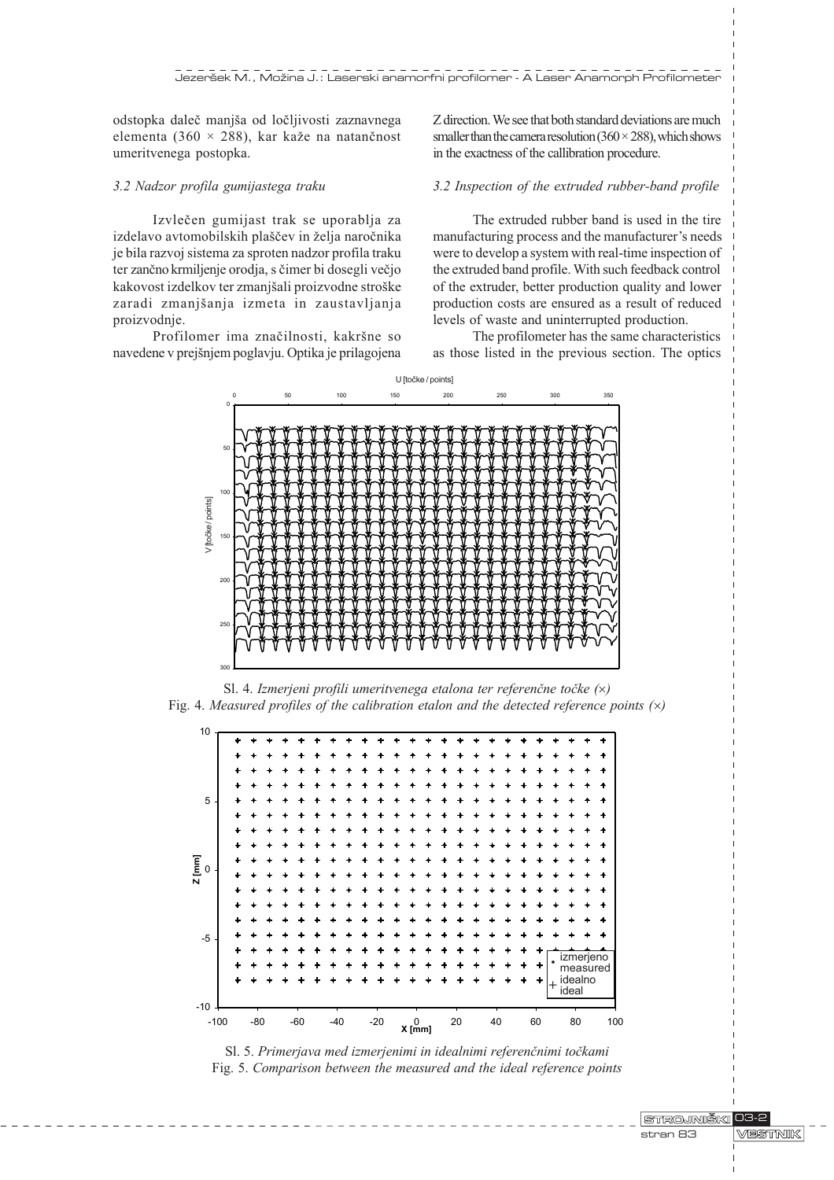odstopka daleè manja od loèljivosti zaznavnega elementa (360  $\times$  288), kar kaže na natančnost umeritvenega postopka.

#### 3.2 Nadzor profila gumijastega traku

Izvleèen gumijast trak se uporablja za izdelavo avtomobilskih plaščev in želja naročnika je bila razvoj sistema za sproten nadzor profila traku ter zanèno krmiljenje orodja, s èimer bi dosegli veèjo kakovost izdelkov ter zmanjšali proizvodne stroške zaradi zmanjšanja izmeta in zaustavljanja proizvodnje.

Profilomer ima značilnosti, kakršne so navedene v prejšnjem poglavju. Optika je prilagojena Z direction. We see that both standard deviations are much smaller than the camera resolution  $(360 \times 288)$ , which shows in the exactness of the callibration procedure.

# 3.2 Inspection of the extruded rubber-band profile

The extruded rubber band is used in the tire manufacturing process and the manufacturer's needs were to develop a system with real-time inspection of the extruded band profile. With such feedback control of the extruder, better production quality and lower production costs are ensured as a result of reduced levels of waste and uninterrupted production.

The profilometer has the same characteristics as those listed in the previous section. The optics



Sl. 4. Izmerjeni profili umeritvenega etalona ter referenčne točke  $(x)$ Fig. 4. Measured profiles of the calibration etalon and the detected reference points  $(x)$ 



Sl. 5. Primerjava med izmerjenimi in idealnimi referenčnimi točkami Fig. 5. Comparison between the measured and the ideal reference points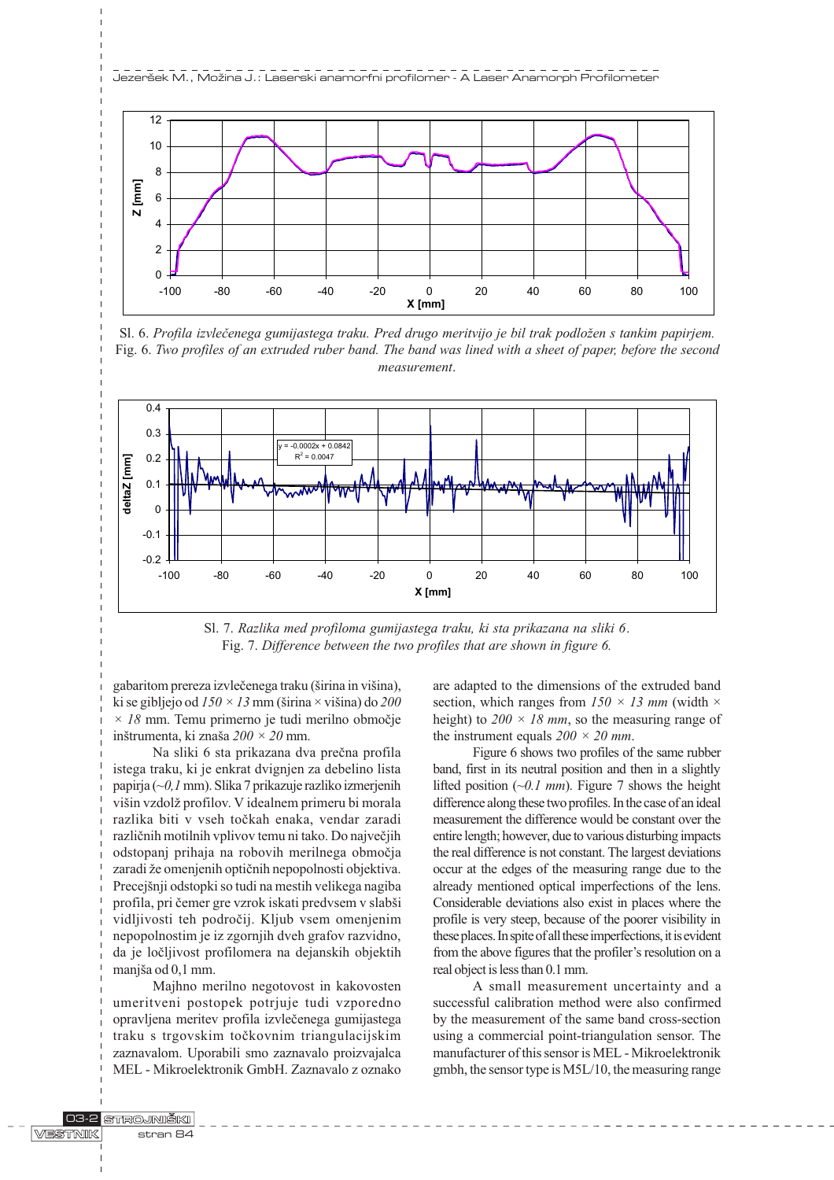

Sl. 6. Profila izvlečenega gumijastega traku. Pred drugo meritvijo je bil trak podložen s tankim papirjem. Fig. 6. Two profiles of an extruded ruber band. The band was lined with a sheet of paper, before the second measurement.



Sl. 7. Razlika med profiloma gumijastega traku, ki sta prikazana na sliki 6. Fig. 7. Difference between the two profiles that are shown in figure 6.

gabaritom prereza izvlečenega traku (širina in višina), ki se gibljejo od  $150 \times 13$  mm (širina  $\times$  višina) do  $200$  $\times$  18 mm. Temu primerno je tudi merilno območje inštrumenta, ki znaša  $200 \times 20$  mm.

Na sliki 6 sta prikazana dva prečna profila istega traku, ki je enkrat dvignjen za debelino lista papirja (~0,1 mm). Slika 7 prikazuje razliko izmerjenih višin vzdolž profilov. V idealnem primeru bi morala razlika biti v vseh toèkah enaka, vendar zaradi razliènih motilnih vplivov temu ni tako. Do najveèjih odstopanj prihaja na robovih merilnega obmoèja zaradi že omenjenih optičnih nepopolnosti objektiva. Precejšnji odstopki so tudi na mestih velikega nagiba profila, pri čemer gre vzrok iskati predvsem v slabši vidljivosti teh podroèij. Kljub vsem omenjenim nepopolnostim je iz zgornjih dveh grafov razvidno, da je loèljivost profilomera na dejanskih objektih manjša od 0,1 mm.

Majhno merilno negotovost in kakovosten umeritveni postopek potrjuje tudi vzporedno opravljena meritev profila izvleèenega gumijastega traku s trgovskim toèkovnim triangulacijskim zaznavalom. Uporabili smo zaznavalo proizvajalca MEL - Mikroelektronik GmbH. Zaznavalo z oznako are adapted to the dimensions of the extruded band section, which ranges from  $150 \times 13$  mm (width  $\times$ height) to  $200 \times 18$  mm, so the measuring range of the instrument equals  $200 \times 20$  mm.

Figure 6 shows two profiles of the same rubber band, first in its neutral position and then in a slightly lifted position  $(\sim 0.1 \text{ mm})$ . Figure 7 shows the height difference along these two profiles. In the case of an ideal measurement the difference would be constant over the entire length; however, due to various disturbing impacts the real difference is not constant. The largest deviations occur at the edges of the measuring range due to the already mentioned optical imperfections of the lens. Considerable deviations also exist in places where the profile is very steep, because of the poorer visibility in these places. In spite of all these imperfections, it is evident from the above figures that the profiler's resolution on a real object is less than 0.1 mm.

A small measurement uncertainty and a successful calibration method were also confirmed by the measurement of the same band cross-section using a commercial point-triangulation sensor. The manufacturer of this sensor is MEL - Mikroelektronik gmbh, the sensor type is M5L/10, the measuring range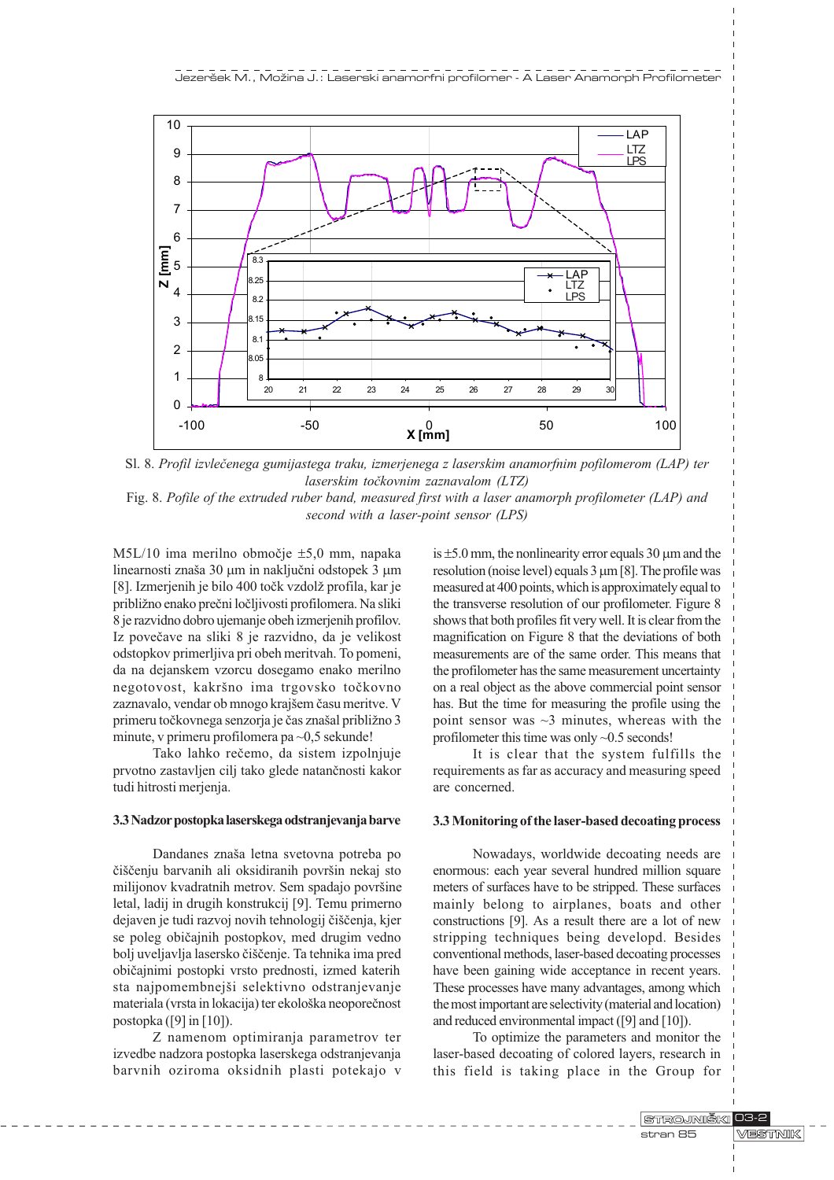

Sl. 8. Profil izvleèenega gumijastega traku, izmerjenega z laserskim anamorfnim pofilomerom (LAP) ter laserskim točkovnim zaznavalom (LTZ)

Fig. 8. Pofile of the extruded ruber band, measured first with a laser anamorph profilometer (LAP) and second with a laser-point sensor (LPS)

M5L/10 ima merilno obmoèje ±5,0 mm, napaka linearnosti znaša 30 µm in naključni odstopek 3 µm [8]. Izmerjenih je bilo 400 točk vzdolž profila, kar je približno enako prečni ločljivosti profilomera. Na sliki 8 je razvidno dobro ujemanje obeh izmerjenih profilov. Iz poveèave na sliki 8 je razvidno, da je velikost odstopkov primerljiva pri obeh meritvah. To pomeni, da na dejanskem vzorcu dosegamo enako merilno negotovost, kakršno ima trgovsko točkovno zaznavalo, vendar ob mnogo krajšem času meritve. V primeru točkovnega senzorja je čas znašal približno 3 minute, v primeru profilomera pa ~0,5 sekunde!

Tako lahko reèemo, da sistem izpolnjuje prvotno zastavljen cilj tako glede natanènosti kakor tudi hitrosti merjenja.

#### 3.3 Nadzor postopka laserskega odstranjevanja barve

Dandanes znaša letna svetovna potreba po čiščenju barvanih ali oksidiranih površin nekaj sto milijonov kvadratnih metrov. Sem spadajo površine letal, ladij in drugih konstrukcij [9]. Temu primerno dejaven je tudi razvoj novih tehnologij čiščenja, kjer se poleg obièajnih postopkov, med drugim vedno bolj uveljavlja lasersko čiščenje. Ta tehnika ima pred obièajnimi postopki vrsto prednosti, izmed katerih sta najpomembnejši selektivno odstranjevanje materiala (vrsta in lokacija) ter ekološka neoporečnost postopka ([9] in [10]).

Z namenom optimiranja parametrov ter izvedbe nadzora postopka laserskega odstranjevanja barvnih oziroma oksidnih plasti potekajo v is  $\pm$ 5.0 mm, the nonlinearity error equals 30 µm and the resolution (noise level) equals  $3 \mu m$  [8]. The profile was measured at 400 points, which is approximately equal to the transverse resolution of our profilometer. Figure 8 shows that both profiles fit very well. It is clear from the magnification on Figure 8 that the deviations of both measurements are of the same order. This means that the profilometer has the same measurement uncertainty on a real object as the above commercial point sensor has. But the time for measuring the profile using the point sensor was  $\sim$ 3 minutes, whereas with the profilometer this time was only ~0.5 seconds!

It is clear that the system fulfills the requirements as far as accuracy and measuring speed are concerned.

#### 3.3 Monitoring of the laser-based decoating process

Nowadays, worldwide decoating needs are enormous: each year several hundred million square meters of surfaces have to be stripped. These surfaces mainly belong to airplanes, boats and other constructions [9]. As a result there are a lot of new stripping techniques being developd. Besides conventional methods, laser-based decoating processes have been gaining wide acceptance in recent years. These processes have many advantages, among which the most important are selectivity (material and location) and reduced environmental impact ([9] and [10]).

To optimize the parameters and monitor the laser-based decoating of colored layers, research in this field is taking place in the Group for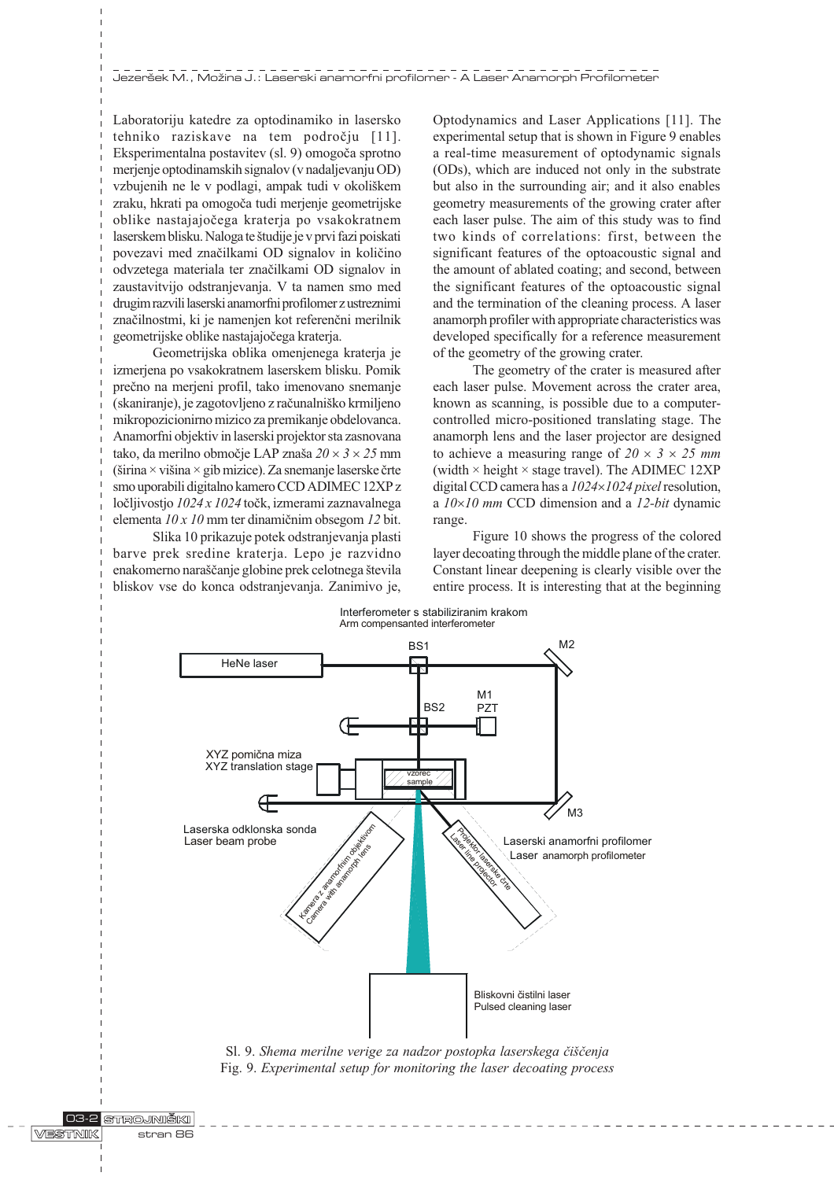Laboratoriju katedre za optodinamiko in lasersko tehniko raziskave na tem podroèju [11]. Eksperimentalna postavitev (sl. 9) omogoèa sprotno merjenje optodinamskih signalov (v nadaljevanju OD) vzbujenih ne le v podlagi, ampak tudi v okoliškem zraku, hkrati pa omogoèa tudi merjenje geometrijske oblike nastajajoèega kraterja po vsakokratnem laserskem blisku. Naloga te študije je v prvi fazi poiskati povezavi med znaèilkami OD signalov in kolièino odvzetega materiala ter znaèilkami OD signalov in zaustavitvijo odstranjevanja. V ta namen smo med drugim razvili laserski anamorfni profilomer z ustreznimi znaèilnostmi, ki je namenjen kot referenèni merilnik geometrijske oblike nastajajoèega kraterja.

Geometrijska oblika omenjenega kraterja je izmerjena po vsakokratnem laserskem blisku. Pomik preèno na merjeni profil, tako imenovano snemanje (skaniranje), je zagotovljeno z raèunalniko krmiljeno mikropozicionirno mizico za premikanje obdelovanca. Anamorfni objektiv in laserski projektor sta zasnovana tako, da merilno območje LAP znaša  $20 \times 3 \times 25$  mm (širina  $\times$  višina  $\times$  gib mizice). Za snemanje laserske črte smo uporabili digitalno kamero CCD ADIMEC 12XP z ločlijvostio  $1024 \times 1024$  točk, izmerami zaznavalnega elementa 10 x 10 mm ter dinamiènim obsegom 12 bit.

Slika 10 prikazuje potek odstranjevanja plasti barve prek sredine kraterja. Lepo je razvidno enakomerno naraščanje globine prek celotnega števila bliskov vse do konca odstranjevanja. Zanimivo je, Optodynamics and Laser Applications [11]. The experimental setup that is shown in Figure 9 enables a real-time measurement of optodynamic signals (ODs), which are induced not only in the substrate but also in the surrounding air; and it also enables geometry measurements of the growing crater after each laser pulse. The aim of this study was to find two kinds of correlations: first, between the significant features of the optoacoustic signal and the amount of ablated coating; and second, between the significant features of the optoacoustic signal and the termination of the cleaning process. A laser anamorph profiler with appropriate characteristics was developed specifically for a reference measurement of the geometry of the growing crater.

The geometry of the crater is measured after each laser pulse. Movement across the crater area, known as scanning, is possible due to a computercontrolled micro-positioned translating stage. The anamorph lens and the laser projector are designed to achieve a measuring range of  $20 \times 3 \times 25$  mm (width  $\times$  height  $\times$  stage travel). The ADIMEC 12XP digital CCD camera has a  $1024\times1024$  pixel resolution, a  $10\times10$  mm CCD dimension and a 12-bit dynamic range.

Figure 10 shows the progress of the colored layer decoating through the middle plane of the crater. Constant linear deepening is clearly visible over the entire process. It is interesting that at the beginning



Sl. 9. Shema merilne verige za nadzor postopka laserskega čiščenja Fig. 9. Experimental setup for monitoring the laser decoating process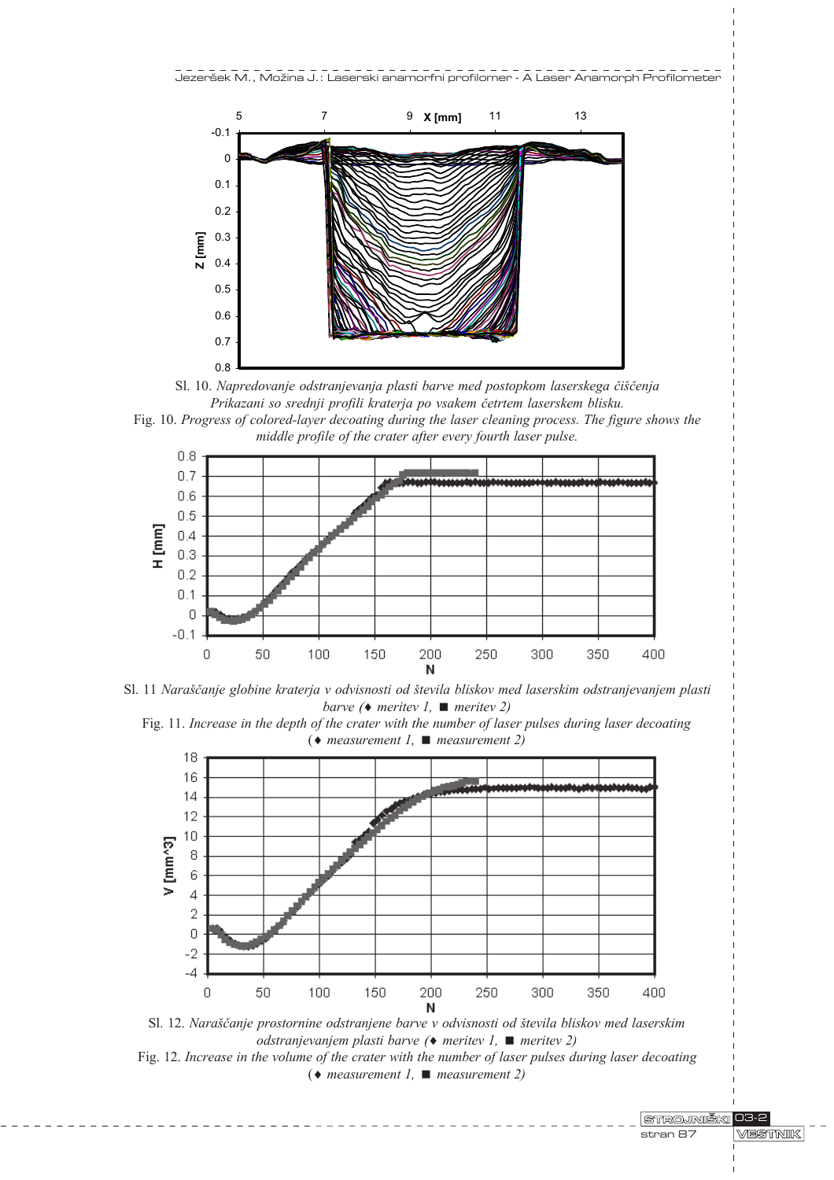

Sl. 10. Napredovanje odstranjevanja plasti barve med postopkom laserskega čiščenja Prikazani so srednji profili kraterja po vsakem èetrtem laserskem blisku.

Fig. 10. Progress of colored-layer decoating during the laser cleaning process. The figure shows the middle profile of the crater after every fourth laser pulse.



Sl. 11 Naraščanje globine kraterja v odvisnosti od števila bliskov med laserskim odstranjevanjem plasti barve ( $\bullet$  meritev 1,  $\blacksquare$  meritev 2)





odstranjevanjem plasti barve ( $\bullet$  meritev 1,  $\blacksquare$  meritev 2) Fig. 12. Increase in the volume of the crater with the number of laser pulses during laser decoating ( $\bullet$  measurement 1,  $\blacksquare$  measurement 2)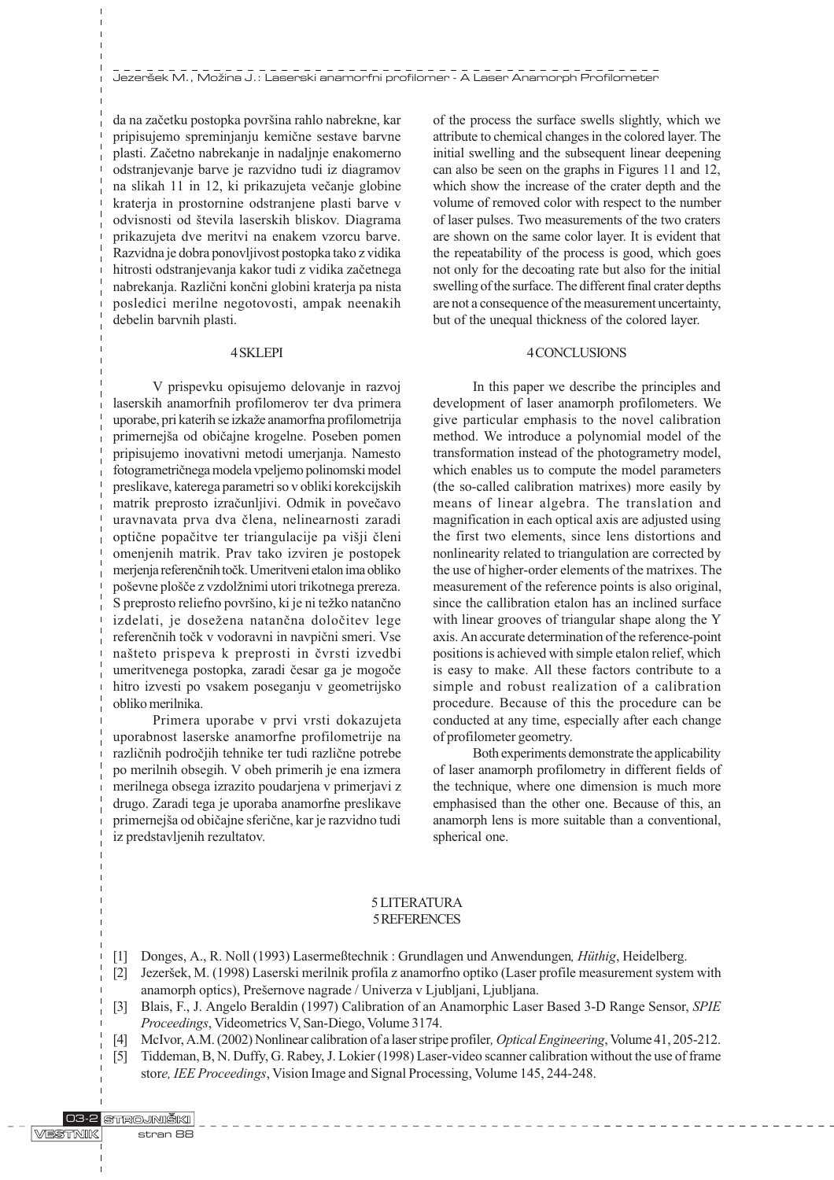da na začetku postopka površina rahlo nabrekne, kar pripisujemo spreminjanju kemiène sestave barvne plasti. Zaèetno nabrekanje in nadaljnje enakomerno odstranjevanje barve je razvidno tudi iz diagramov na slikah 11 in 12, ki prikazujeta večanje globine kraterja in prostornine odstranjene plasti barve v odvisnosti od števila laserskih bliskov. Diagrama prikazujeta dve meritvi na enakem vzorcu barve. Razvidna je dobra ponovljivost postopka tako z vidika hitrosti odstranjevanja kakor tudi z vidika zaèetnega nabrekanja. Razlièni konèni globini kraterja pa nista posledici merilne negotovosti, ampak neenakih debelin barvnih plasti.

#### 4 SKLEPI

V prispevku opisujemo delovanje in razvoj laserskih anamorfnih profilomerov ter dva primera uporabe, pri katerih se izkaže anamorfna profilometrija primernejša od običajne krogelne. Poseben pomen pripisujemo inovativni metodi umerjanja. Namesto fotogrametriènega modela vpeljemo polinomski model preslikave, katerega parametri so v obliki korekcijskih matrik preprosto izraèunljivi. Odmik in poveèavo uravnavata prva dva èlena, nelinearnosti zaradi optične popačitve ter triangulacije pa višji členi omenjenih matrik. Prav tako izviren je postopek merjenja referenènih toèk. Umeritveni etalon ima obliko poševne plošče z vzdolžnimi utori trikotnega prereza. S preprosto reliefno površino, ki je ni težko natančno izdelati, je dosežena natančna določitev lege referenènih toèk v vodoravni in navpièni smeri. Vse nateto prispeva k preprosti in èvrsti izvedbi umeritvenega postopka, zaradi èesar ga je mogoèe hitro izvesti po vsakem poseganju v geometrijsko obliko merilnika.

Primera uporabe v prvi vrsti dokazujeta uporabnost laserske anamorfne profilometrije na razliènih podroèjih tehnike ter tudi razliène potrebe po merilnih obsegih. V obeh primerih je ena izmera merilnega obsega izrazito poudarjena v primerjavi z drugo. Zaradi tega je uporaba anamorfne preslikave primernejša od običajne sferične, kar je razvidno tudi iz predstavljenih rezultatov.

of the process the surface swells slightly, which we attribute to chemical changes in the colored layer. The initial swelling and the subsequent linear deepening can also be seen on the graphs in Figures 11 and 12, which show the increase of the crater depth and the volume of removed color with respect to the number of laser pulses. Two measurements of the two craters are shown on the same color layer. It is evident that the repeatability of the process is good, which goes not only for the decoating rate but also for the initial swelling of the surface. The different final crater depths are not a consequence of the measurement uncertainty, but of the unequal thickness of the colored layer.

#### 4 CONCLUSIONS

In this paper we describe the principles and development of laser anamorph profilometers. We give particular emphasis to the novel calibration method. We introduce a polynomial model of the transformation instead of the photogrametry model, which enables us to compute the model parameters (the so-called calibration matrixes) more easily by means of linear algebra. The translation and magnification in each optical axis are adjusted using the first two elements, since lens distortions and nonlinearity related to triangulation are corrected by the use of higher-order elements of the matrixes. The measurement of the reference points is also original, since the callibration etalon has an inclined surface with linear grooves of triangular shape along the Y axis. An accurate determination of the reference-point positions is achieved with simple etalon relief, which is easy to make. All these factors contribute to a simple and robust realization of a calibration procedure. Because of this the procedure can be conducted at any time, especially after each change of profilometer geometry.

Both experiments demonstrate the applicability of laser anamorph profilometry in different fields of the technique, where one dimension is much more emphasised than the other one. Because of this, an anamorph lens is more suitable than a conventional, spherical one.

# 5 LITERATURA 5 REFERENCES

- [1] Donges, A., R. Noll (1993) Lasermeßtechnik : Grundlagen und Anwendungen, Hüthig, Heidelberg.
- [2] Jezeršek, M. (1998) Laserski merilnik profila z anamorfno optiko (Laser profile measurement system with anamorph optics), Prešernove nagrade / Univerza v Ljubljani, Ljubljana.
- [3] Blais, F., J. Angelo Beraldin (1997) Calibration of an Anamorphic Laser Based 3-D Range Sensor, SPIE Proceedings, Videometrics V, San-Diego, Volume 3174.
- [4] McIvor, A.M. (2002) Nonlinear calibration of a laser stripe profiler, Optical Engineering, Volume 41, 205-212.
- [5] Tiddeman, B, N. Duffy, G. Rabey, J. Lokier (1998) Laser-video scanner calibration without the use of frame store, IEE Proceedings, Vision Image and Signal Processing, Volume 145, 244-248.